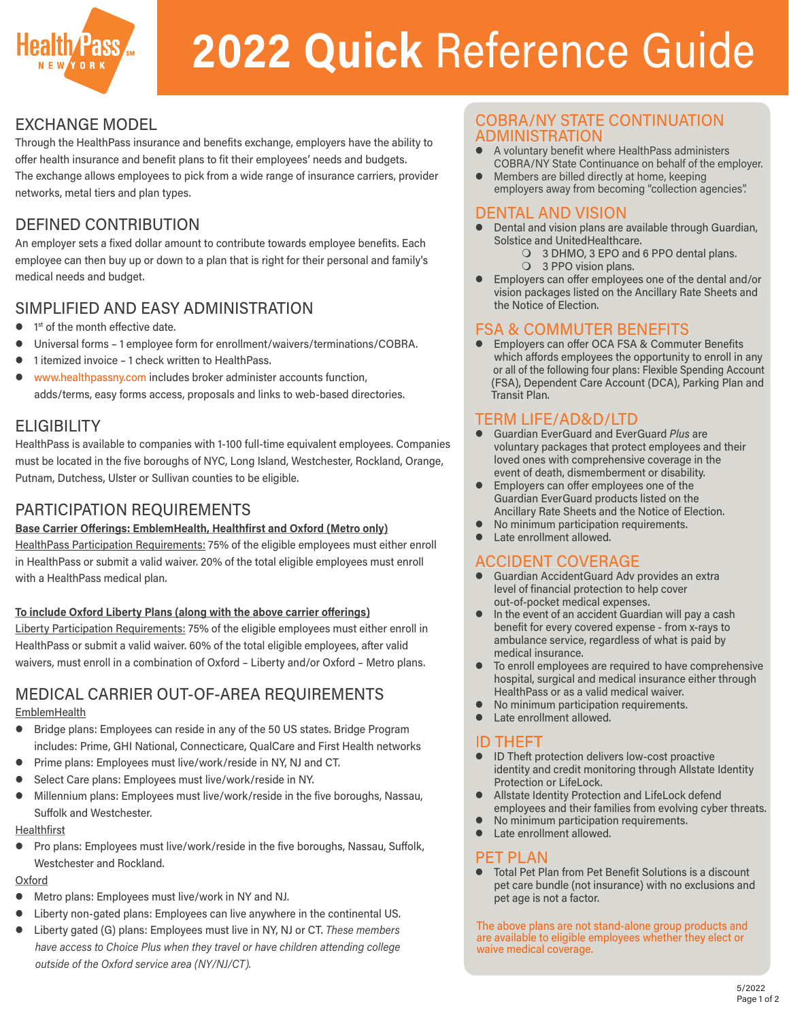

# **2022 Quick** Reference Guide

# EXCHANGE MODEL

Through the HealthPass insurance and benefits exchange, employers have the ability to offer health insurance and benefit plans to fit their employees' needs and budgets. The exchange allows employees to pick from a wide range of insurance carriers, provider

networks, metal tiers and plan types.

# DEFINED CONTRIBUTION

An employer sets a fixed dollar amount to contribute towards employee benefits. Each employee can then buy up or down to a plan that is right for their personal and family's medical needs and budget.

# SIMPLIFIED AND EASY ADMINISTRATION

- 1<sup>st</sup> of the month effective date.
- Universal forms 1 employee form for enrollment/waivers/terminations/COBRA.
- 1 itemized invoice 1 check written to HealthPass.
- www.healthpassny.com includes broker administer accounts function, adds/terms, easy forms access, proposals and links to web-based directories.

# **ELIGIBILITY**

HealthPass is available to companies with 1-100 full-time equivalent employees. Companies must be located in the five boroughs of NYC, Long Island, Westchester, Rockland, Orange, Putnam, Dutchess, Ulster or Sullivan counties to be eligible.

# PARTICIPATION REQUIREMENTS

## **Base Carrier Offerings: EmblemHealth, Healthfirst and Oxford (Metro only)**

HealthPass Participation Requirements: 75% of the eligible employees must either enroll in HealthPass or submit a valid waiver. 20% of the total eligible employees must enroll with a HealthPass medical plan.

## **To include Oxford Liberty Plans (along with the above carrier offerings)**

Liberty Participation Requirements: 75% of the eligible employees must either enroll in HealthPass or submit a valid waiver. 60% of the total eligible employees, after valid waivers, must enroll in a combination of Oxford – Liberty and/or Oxford – Metro plans.

# MEDICAL CARRIER OUT-OF-AREA REQUIREMENTS

## **EmblemHealth**

- **•** Bridge plans: Employees can reside in any of the 50 US states. Bridge Program includes: Prime, GHI National, Connecticare, QualCare and First Health networks
- **•** Prime plans: Employees must live/work/reside in NY, NJ and CT.
- Select Care plans: Employees must live/work/reside in NY.
- Millennium plans: Employees must live/work/reside in the five boroughs, Nassau, Suffolk and Westchester.

#### Healthfirst

**•** Pro plans: Employees must live/work/reside in the five boroughs, Nassau, Suffolk, Westchester and Rockland.

## **Oxford**

- Metro plans: Employees must live/work in NY and NJ.
- Liberty non-gated plans: Employees can live anywhere in the continental US.
- Liberty gated (G) plans: Employees must live in NY, NJ or CT. *These members have access to Choice Plus when they travel or have children attending college outside of the Oxford service area (NY/NJ/CT).*

## COBRA/NY STATE CONTINUATION ADMINISTRATION

- A voluntary benefit where HealthPass administers COBRA/NY State Continuance on behalf of the employer.
- Members are billed directly at home, keeping employers away from becoming "collection agencies".

## DENTAL AND VISION

- Dental and vision plans are available through Guardian, Solstice and UnitedHealthcare.
	- 3 DHMO, 3 EPO and 6 PPO dental plans.
	- 3 PPO vision plans.
- Employers can offer employees one of the dental and/or vision packages listed on the Ancillary Rate Sheets and the Notice of Election.

# FSA & COMMUTER BENEFITS

Employers can offer OCA FSA & Commuter Benefits which affords employees the opportunity to enroll in any or all of the following four plans: Flexible Spending Account (FSA), Dependent Care Account (DCA), Parking Plan and Transit Plan.

# TERM LIFE/AD&D/LTD

- Guardian EverGuard and EverGuard *Plus* are voluntary packages that protect employees and their loved ones with comprehensive coverage in the event of death, dismemberment or disability.
- Employers can offer employees one of the Guardian EverGuard products listed on the Ancillary Rate Sheets and the Notice of Election.
- No minimum participation requirements.
- Late enrollment allowed.

# ACCIDENT COVERAGE

- Guardian AccidentGuard Adv provides an extra level of financial protection to help cover out-of-pocket medical expenses.
- **•** In the event of an accident Guardian will pay a cash benefit for every covered expense - from x-rays to ambulance service, regardless of what is paid by medical insurance.
- $\bullet$  To enroll employees are required to have comprehensive hospital, surgical and medical insurance either through HealthPass or as a valid medical waiver.
- $\bullet$  No minimum participation requirements.
- Late enrollment allowed.

# **ID THEFT**

- ID Theft protection delivers low-cost proactive identity and credit monitoring through Allstate Identity Protection or LifeLock.
- Allstate Identity Protection and LifeLock defend employees and their families from evolving cyber threats.
- No minimum participation requirements.
- Late enrollment allowed.

# **PET PLAN**<br>• Total Pet Pl

Total Pet Plan from Pet Benefit Solutions is a discount pet care bundle (not insurance) with no exclusions and pet age is not a factor.

The above plans are not stand-alone group products and are available to eligible employees whether they elect or waive medical coverage.